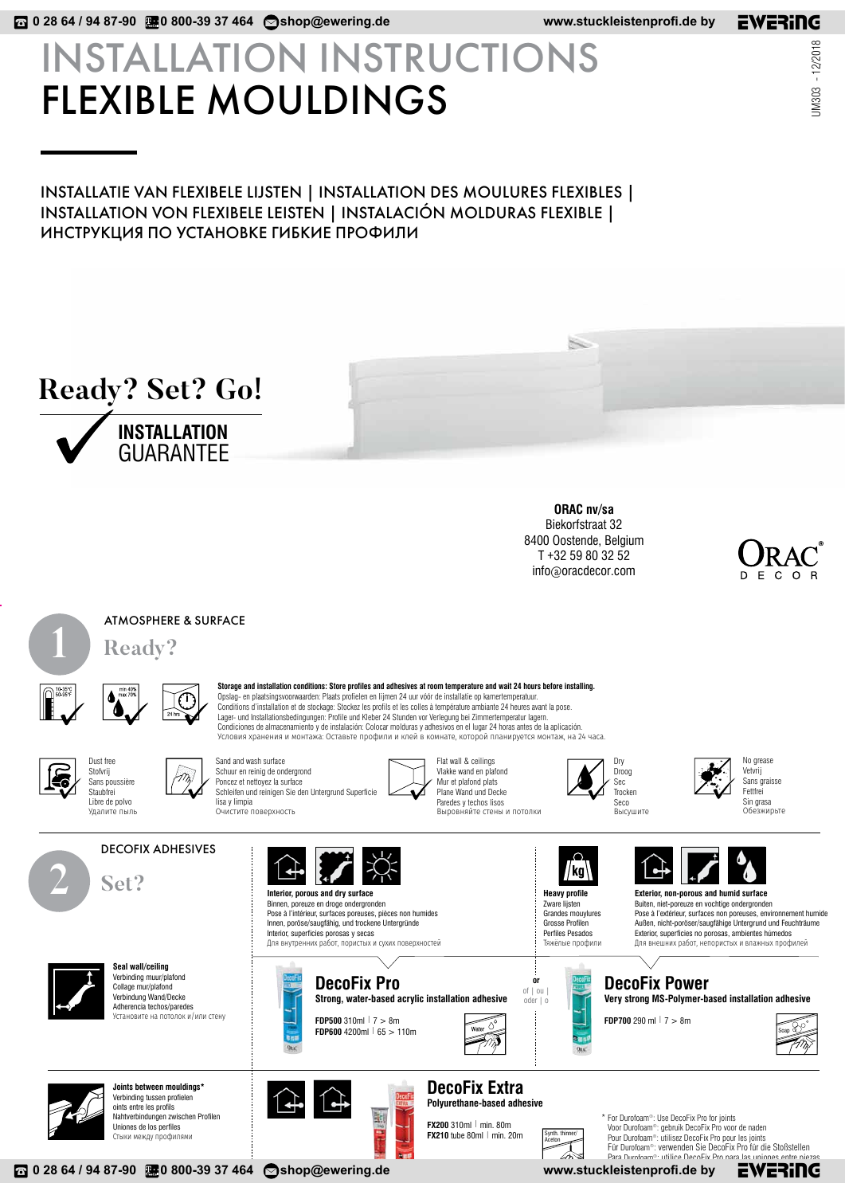# INSTALLATION INSTRUCTIONS FLEXIBLE MOULDINGS

## INSTALLATIE VAN FLEXIBELE LIJSTEN | INSTALLATION DES MOULURES FLEXIBLES | INSTALLATION VON FLEXIBELE LEISTEN | INSTALACIÓN MOLDURAS FLEXIBLE | ИНСТРУКЦИЯ ПО УСТАНОВКЕ ГИБКИЕ ПРОФИЛИ



**ORAC nv/sa** Biekorfstraat 32 8400 Oostende, Belgium T +32 59 80 32 52 info@oracdecor.com

×.



ATMOSPHERE & SURFACE **1 Ready?**



**Storage and installation conditions: Store profiles and adhesives at room temperature and wait 24 hours before installing.** Opslag- en plaatsingsvoorwaarden: Plaats profielen en lijmen 24 uur vóór de installatie op kamertemperatuur. Conditions d'installation et de stockage: Stockez les profils et les colles à température ambiante 24 heures avant la pose. Lager- und Installationsbedingungen: Profile und Kleber 24 Stunden vor Verlegung bei Zimmertemperatur lagern. Condiciones de almacenamiento y de instalación: Colocar molduras y adhesivos en el lugar 24 horas antes de la aplicación. Условия хранения и монтажа: Оставьте профили и клей в комнате, которой планируется монтаж, на 24 часа.





DECOFIX ADHESIVES

Sand and wash surface Schuur en reinig de ondergrond Poncez et nettoyez la surface Schleifen und reinigen Sie den Untergrund Superficie lisa y limpia

> **Interior, porous and dry surface** Binnen, poreuze en droge ondergronden Pose à l'intérieur, surfaces poreuses, pièces non humides Innen, poröse/saugfähig, und trockene Untergründe Interior, superficies porosas y secas

Flat wall & ceilings Vlakke wand en plafond Mur et plafond plats Plane Wand und Decke Paredes y techos lisos Выровняйте стены и потолки



**Heavy profile** Zware lijsten Grandes mouylures Grosse Profilen Perfiles Pesados Тяжёлые профили

//kg<sup>\</sup>

**or**  $of  $|$  ou$ oder | o

> Synth. thinner/ Aceton



No grease Vetvrij Sans graisse Fettfrei Sin grasa Обезжирьте







**FDP700** 290 ml  $| 7 > 8$ m





Verbinding tussen profielen oints entre les profils Nahtverbindungen zwischen Profilen Uniones de los perfiles Стыки между профилями

**Joints between mouldings\***

**Seal wall/ceiling** Verbinding muur/plafond Collage mur/plafond Verbindung Wand/Decke Adherencia techos/paredes Установите на потолок и/или стену

**2 Set?**



Для внутренних работ, пористых и сухих поверхностей

**DecoFix Pro**

**FDP500** 310ml | 7 > 8m **FDP600** 4200ml | 65 > 110m

**Strong, water-based acrylic installation adhesive**

### **DecoFix Extra Polyurethane-based adhesive**



For Durofoam®: Use DecoFix Pro for joints \* Voor Durofoam®: gebruik DecoFix Pro voor de naden Pour Durofoam®: utilisez DecoFix Pro pour les joints Für Durofoam®: verwenden Sie DecoFix Pro für die Stoßstellen

www.stuckleistenprofi.de by

ra Durofoam®: utilice DecoFix Pro para las uniones entre piezas<br>eistenprofi.de by EWERING

UM303 - 12/2018

JM303 - 12/2018